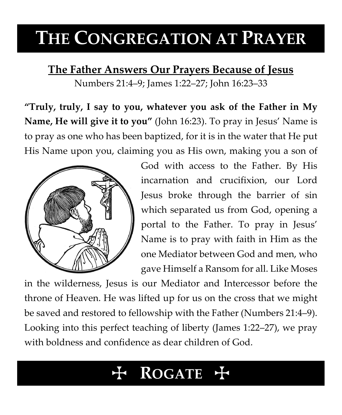# **THE CONGREGATION AT PRAYER**

**The Father Answers Our Prayers Because of Jesus**

Numbers 21:4–9; James 1:22–27; John 16:23–33

**"Truly, truly, I say to you, whatever you ask of the Father in My Name, He will give it to you"** (John 16:23). To pray in Jesus' Name is to pray as one who has been baptized, for it is in the water that He put His Name upon you, claiming you as His own, making you a son of



God with access to the Father. By His incarnation and crucifixion, our Lord Jesus broke through the barrier of sin which separated us from God, opening a portal to the Father. To pray in Jesus' Name is to pray with faith in Him as the one Mediator between God and men, who gave Himself a Ransom for all. Like Moses

in the wilderness, Jesus is our Mediator and Intercessor before the throne of Heaven. He was lifted up for us on the cross that we might be saved and restored to fellowship with the Father (Numbers 21:4–9). Looking into this perfect teaching of liberty (James 1:22–27), we pray with boldness and confidence as dear children of God.

## **ROGATE**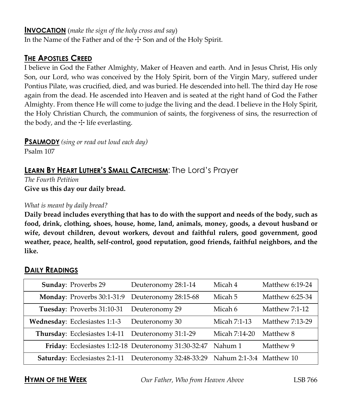#### **INVOCATION** (*make the sign of the holy cross and say*)

In the Name of the Father and of the  $\pm$  Son and of the Holy Spirit.

### **THE APOSTLES CREED**

I believe in God the Father Almighty, Maker of Heaven and earth. And in Jesus Christ, His only Son, our Lord, who was conceived by the Holy Spirit, born of the Virgin Mary, suffered under Pontius Pilate, was crucified, died, and was buried. He descended into hell. The third day He rose again from the dead. He ascended into Heaven and is seated at the right hand of God the Father Almighty. From thence He will come to judge the living and the dead. I believe in the Holy Spirit, the Holy Christian Church, the communion of saints, the forgiveness of sins, the resurrection of the body, and the  $\pm$  life everlasting.

**PSALMODY** *(sing or read out loud each day)*

Psalm 107

### **LEARN BY HEART LUTHER'S SMALL CATECHISM**: The Lord's Prayer

*The Fourth Petition* **Give us this day our daily bread.**

#### *What is meant by daily bread?*

**Daily bread includes everything that has to do with the support and needs of the body, such as food, drink, clothing, shoes, house, home, land, animals, money, goods, a devout husband or wife, devout children, devout workers, devout and faithful rulers, good government, good weather, peace, health, self-control, good reputation, good friends, faithful neighbors, and the like.**

#### **DAILY READINGS**

| Sunday: Proverbs 29                                  | Deuteronomy 28:1-14     | Micah 4                  | Matthew 6:19-24       |
|------------------------------------------------------|-------------------------|--------------------------|-----------------------|
| Monday: Proverbs 30:1-31:9                           | Deuteronomy 28:15-68    | Micah 5                  | Matthew 6:25-34       |
| Tuesday: Proverbs 31:10-31                           | Deuteronomy 29          | Micah 6                  | <b>Matthew 7:1-12</b> |
| Wednesday: Ecclesiastes 1:1-3                        | Deuteronomy 30          | Micah 7:1-13             | Matthew 7:13-29       |
| Thursday: Ecclesiastes 1:4-11                        | Deuteronomy 31:1-29     | Micah 7:14-20            | Matthew 8             |
| Friday: Ecclesiastes 1:12-18 Deuteronomy 31:30-32:47 |                         | Nahum 1                  | Matthew 9             |
| <b>Saturday:</b> Ecclesiastes 2:1-11                 | Deuteronomy 32:48-33:29 | Nahum 2:1-3:4 Matthew 10 |                       |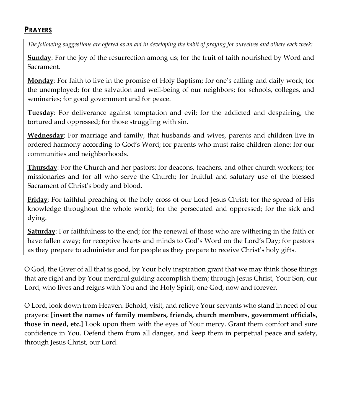### **PRAYERS**

*The following suggestions are offered as an aid in developing the habit of praying for ourselves and others each week:*

**Sunday**: For the joy of the resurrection among us; for the fruit of faith nourished by Word and Sacrament.

**Monday**: For faith to live in the promise of Holy Baptism; for one's calling and daily work; for the unemployed; for the salvation and well-being of our neighbors; for schools, colleges, and seminaries; for good government and for peace.

**Tuesday**: For deliverance against temptation and evil; for the addicted and despairing, the tortured and oppressed; for those struggling with sin.

**Wednesday**: For marriage and family, that husbands and wives, parents and children live in ordered harmony according to God's Word; for parents who must raise children alone; for our communities and neighborhoods.

**Thursday**: For the Church and her pastors; for deacons, teachers, and other church workers; for missionaries and for all who serve the Church; for fruitful and salutary use of the blessed Sacrament of Christ's body and blood.

**Friday**: For faithful preaching of the holy cross of our Lord Jesus Christ; for the spread of His knowledge throughout the whole world; for the persecuted and oppressed; for the sick and dying.

**Saturday**: For faithfulness to the end; for the renewal of those who are withering in the faith or have fallen away; for receptive hearts and minds to God's Word on the Lord's Day; for pastors as they prepare to administer and for people as they prepare to receive Christ's holy gifts.

O God, the Giver of all that is good, by Your holy inspiration grant that we may think those things that are right and by Your merciful guiding accomplish them; through Jesus Christ, Your Son, our Lord, who lives and reigns with You and the Holy Spirit, one God, now and forever.

O Lord, look down from Heaven. Behold, visit, and relieve Your servants who stand in need of our prayers: **[insert the names of family members, friends, church members, government officials, those in need, etc.]** Look upon them with the eyes of Your mercy. Grant them comfort and sure confidence in You. Defend them from all danger, and keep them in perpetual peace and safety, through Jesus Christ, our Lord.